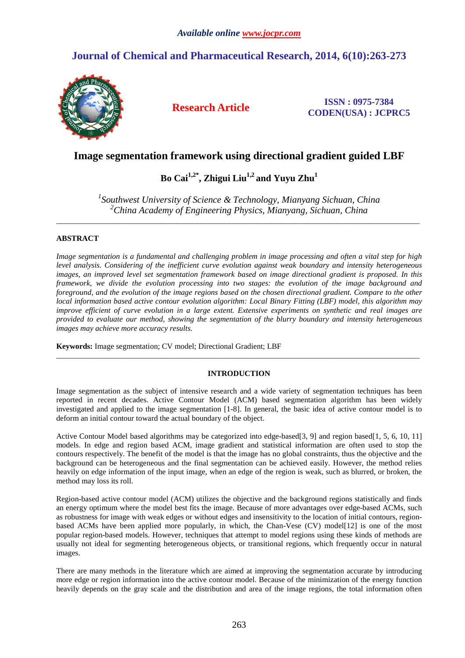## **Journal of Chemical and Pharmaceutical Research, 2014, 6(10):263-273**



**Research Article ISSN : 0975-7384 CODEN(USA) : JCPRC5**

## **Image segmentation framework using directional gradient guided LBF**

# **Bo Cai1,2\*, Zhigui Liu1,2 and Yuyu Zhu<sup>1</sup>**

*1 Southwest University of Science & Technology, Mianyang Sichuan, China <sup>2</sup>China Academy of Engineering Physics, Mianyang, Sichuan, China* 

\_\_\_\_\_\_\_\_\_\_\_\_\_\_\_\_\_\_\_\_\_\_\_\_\_\_\_\_\_\_\_\_\_\_\_\_\_\_\_\_\_\_\_\_\_\_\_\_\_\_\_\_\_\_\_\_\_\_\_\_\_\_\_\_\_\_\_\_\_\_\_\_\_\_\_\_\_\_\_\_\_\_\_\_\_\_\_\_\_\_\_\_\_

## **ABSTRACT**

*Image segmentation is a fundamental and challenging problem in image processing and often a vital step for high level analysis. Considering of the inefficient curve evolution against weak boundary and intensity heterogeneous images, an improved level set segmentation framework based on image directional gradient is proposed. In this framework, we divide the evolution processing into two stages: the evolution of the image background and foreground, and the evolution of the image regions based on the chosen directional gradient. Compare to the other local information based active contour evolution algorithm: Local Binary Fitting (LBF) model, this algorithm may improve efficient of curve evolution in a large extent. Extensive experiments on synthetic and real images are provided to evaluate our method, showing the segmentation of the blurry boundary and intensity heterogeneous images may achieve more accuracy results.* 

**Keywords:** Image segmentation; CV model; Directional Gradient; LBF

## **INTRODUCTION**

\_\_\_\_\_\_\_\_\_\_\_\_\_\_\_\_\_\_\_\_\_\_\_\_\_\_\_\_\_\_\_\_\_\_\_\_\_\_\_\_\_\_\_\_\_\_\_\_\_\_\_\_\_\_\_\_\_\_\_\_\_\_\_\_\_\_\_\_\_\_\_\_\_\_\_\_\_\_\_\_\_\_\_\_\_\_\_\_\_\_\_\_\_

Image segmentation as the subject of intensive research and a wide variety of segmentation techniques has been reported in recent decades. Active Contour Model (ACM) based segmentation algorithm has been widely investigated and applied to the image segmentation [1-8]. In general, the basic idea of active contour model is to deform an initial contour toward the actual boundary of the object.

Active Contour Model based algorithms may be categorized into edge-based[3, 9] and region based[1, 5, 6, 10, 11] models. In edge and region based ACM, image gradient and statistical information are often used to stop the contours respectively. The benefit of the model is that the image has no global constraints, thus the objective and the background can be heterogeneous and the final segmentation can be achieved easily. However, the method relies heavily on edge information of the input image, when an edge of the region is weak, such as blurred, or broken, the method may loss its roll.

Region-based active contour model (ACM) utilizes the objective and the background regions statistically and finds an energy optimum where the model best fits the image. Because of more advantages over edge-based ACMs, such as robustness for image with weak edges or without edges and insensitivity to the location of initial contours, regionbased ACMs have been applied more popularly, in which, the Chan-Vese (CV) model[12] is one of the most popular region-based models. However, techniques that attempt to model regions using these kinds of methods are usually not ideal for segmenting heterogeneous objects, or transitional regions, which frequently occur in natural images.

There are many methods in the literature which are aimed at improving the segmentation accurate by introducing more edge or region information into the active contour model. Because of the minimization of the energy function heavily depends on the gray scale and the distribution and area of the image regions, the total information often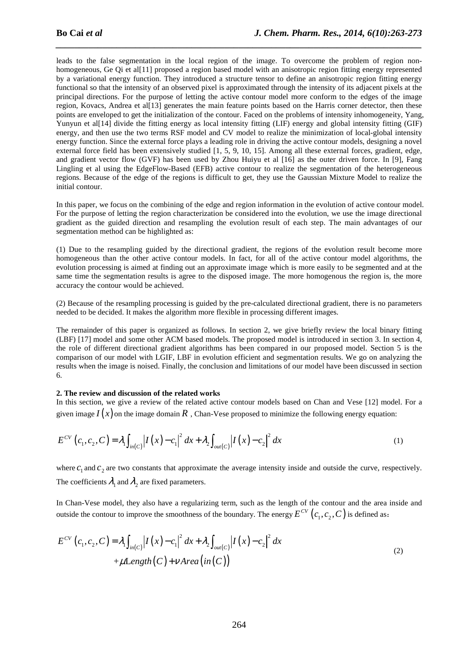leads to the false segmentation in the local region of the image. To overcome the problem of region nonhomogeneous, Ge Qi et al<sup>[11]</sup> proposed a region based model with an anisotropic region fitting energy represented by a variational energy function. They introduced a structure tensor to define an anisotropic region fitting energy functional so that the intensity of an observed pixel is approximated through the intensity of its adjacent pixels at the principal directions. For the purpose of letting the active contour model more conform to the edges of the image region, Kovacs, Andrea et al[13] generates the main feature points based on the Harris corner detector, then these points are enveloped to get the initialization of the contour. Faced on the problems of intensity inhomogeneity, Yang, Yunyun et al[14] divide the fitting energy as local intensity fitting (LIF) energy and global intensity fitting (GIF) energy, and then use the two terms RSF model and CV model to realize the minimization of local-global intensity energy function. Since the external force plays a leading role in driving the active contour models, designing a novel external force field has been extensively studied [1, 5, 9, 10, 15]. Among all these external forces, gradient, edge, and gradient vector flow (GVF) has been used by Zhou Huiyu et al [16] as the outer driven force. In [9], Fang Lingling et al using the EdgeFlow-Based (EFB) active contour to realize the segmentation of the heterogeneous regions. Because of the edge of the regions is difficult to get, they use the Gaussian Mixture Model to realize the initial contour.

*\_\_\_\_\_\_\_\_\_\_\_\_\_\_\_\_\_\_\_\_\_\_\_\_\_\_\_\_\_\_\_\_\_\_\_\_\_\_\_\_\_\_\_\_\_\_\_\_\_\_\_\_\_\_\_\_\_\_\_\_\_\_\_\_\_\_\_\_\_\_\_\_\_\_\_\_\_\_*

In this paper, we focus on the combining of the edge and region information in the evolution of active contour model. For the purpose of letting the region characterization be considered into the evolution, we use the image directional gradient as the guided direction and resampling the evolution result of each step. The main advantages of our segmentation method can be highlighted as:

(1) Due to the resampling guided by the directional gradient, the regions of the evolution result become more homogeneous than the other active contour models. In fact, for all of the active contour model algorithms, the evolution processing is aimed at finding out an approximate image which is more easily to be segmented and at the same time the segmentation results is agree to the disposed image. The more homogenous the region is, the more accuracy the contour would be achieved.

(2) Because of the resampling processing is guided by the pre-calculated directional gradient, there is no parameters needed to be decided. It makes the algorithm more flexible in processing different images.

The remainder of this paper is organized as follows. In section 2, we give briefly review the local binary fitting (LBF) [17] model and some other ACM based models. The proposed model is introduced in section 3. In section 4, the role of different directional gradient algorithms has been compared in our proposed model. Section 5 is the comparison of our model with LGIF, LBF in evolution efficient and segmentation results. We go on analyzing the results when the image is noised. Finally, the conclusion and limitations of our model have been discussed in section 6.

## **2. The review and discussion of the related works**

In this section, we give a review of the related active contour models based on Chan and Vese [12] model. For a given image  $I(x)$  on the image domain  $R$ , Chan-Vese proposed to minimize the following energy equation:

$$
E^{CV}(c_1, c_2, C) = \lambda_1 \int_{in(C)} |I(x) - c_1|^2 dx + \lambda_2 \int_{out(C)} |I(x) - c_2|^2 dx
$$
 (1)

where  $c_1$  and  $c_2$  are two constants that approximate the average intensity inside and outside the curve, respectively. The coefficients  $\lambda_1$  and  $\lambda_2$  are fixed parameters.

In Chan-Vese model, they also have a regularizing term, such as the length of the contour and the area inside and outside the contour to improve the smoothness of the boundary. The energy  $E^{CV}\left( c_1, c_2, C \right)$  is defined as:

$$
E^{CV}(c_1, c_2, C) = \lambda_1 \int_{in(C)} |I(x) - c_1|^2 dx + \lambda_2 \int_{out(C)} |I(x) - c_2|^2 dx
$$
  
+  $\mu$ Length(C) +  $\nu$  Area(in(C)) (2)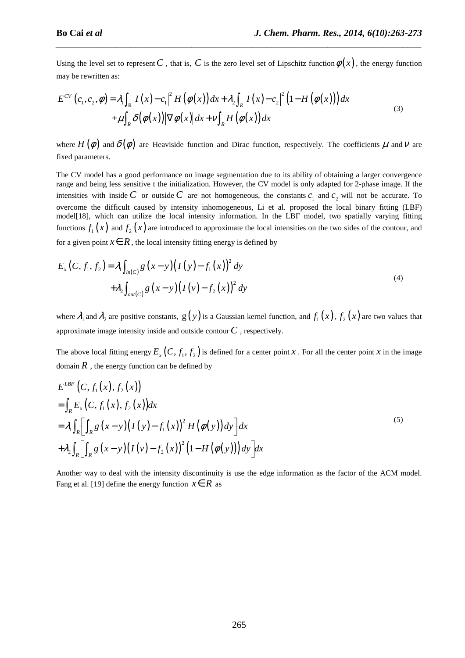Using the level set to represent *C*, that is, *C* is the zero level set of Lipschitz function  $\phi(x)$ , the energy function may be rewritten as:

*\_\_\_\_\_\_\_\_\_\_\_\_\_\_\_\_\_\_\_\_\_\_\_\_\_\_\_\_\_\_\_\_\_\_\_\_\_\_\_\_\_\_\_\_\_\_\_\_\_\_\_\_\_\_\_\_\_\_\_\_\_\_\_\_\_\_\_\_\_\_\_\_\_\_\_\_\_\_*

$$
E^{CV}(c_1, c_2, \phi) = \lambda_1 \int_{\mathbb{R}} |I(x) - c_1|^2 H(\phi(x)) dx + \lambda_2 \int_{\mathbb{R}} |I(x) - c_2|^2 (1 - H(\phi(x))) dx
$$
  
 
$$
+ \mu \int_{\mathbb{R}} \delta(\phi(x)) |\nabla \phi(x)| dx + \nu \int_{\mathbb{R}} H(\phi(x)) dx
$$
 (3)

where  $H(\phi)$  and  $\delta(\phi)$  are Heaviside function and Dirac function, respectively. The coefficients  $\mu$  and  $\nu$  are fixed parameters.

The CV model has a good performance on image segmentation due to its ability of obtaining a larger convergence range and being less sensitive t the initialization. However, the CV model is only adapted for 2-phase image. If the intensities with inside *C* or outside *C* are not homogeneous, the constants  $c_1$  and  $c_2$  will not be accurate. To overcome the difficult caused by intensity inhomogeneous, Li et al. proposed the local binary fitting (LBF) model[18], which can utilize the local intensity information. In the LBF model, two spatially varying fitting functions  $f_1(x)$  and  $f_2(x)$  are introduced to approximate the local intensities on the two sides of the contour, and for a given point  $x \in R$ , the local intensity fitting energy is defined by

$$
E_x(C, f_1, f_2) = \lambda_1 \int_{in(C)} g(x - y) (I(y) - f_1(x))^2 dy
$$
  
+  $\lambda_2 \int_{out(C)} g(x - y) (I(y) - f_2(x))^2 dy$  (4)

where  $\lambda_1$  and  $\lambda_2$  are positive constants,  $g(y)$  is a Gaussian kernel function, and  $f_1(x)$ ,  $f_2(x)$  are two values that approximate image intensity inside and outside contour*C* , respectively.

The above local fitting energy  $E_x(C, f_1, f_2)$  is defined for a center point *x*. For all the center point *x* in the image domain  $R$ , the energy function can be defined by

$$
E^{LBF} (C, f_1(x), f_2(x))
$$
  
=  $\int_R E_x (C, f_1(x), f_2(x)) dx$   
=  $\lambda_1 \int_R \Biggl[ \int_R g (x - y) (I (y) - f_1(x))^2 H (\phi(y)) dy \Biggr] dx$   
+  $\lambda_2 \int_R \Biggl[ \int_R g (x - y) (I (y) - f_2(x))^2 (1 - H (\phi(y))) dy \Biggr] dx$  (5)

Another way to deal with the intensity discontinuity is use the edge information as the factor of the ACM model. Fang et al. [19] define the energy function  $x \in R$  as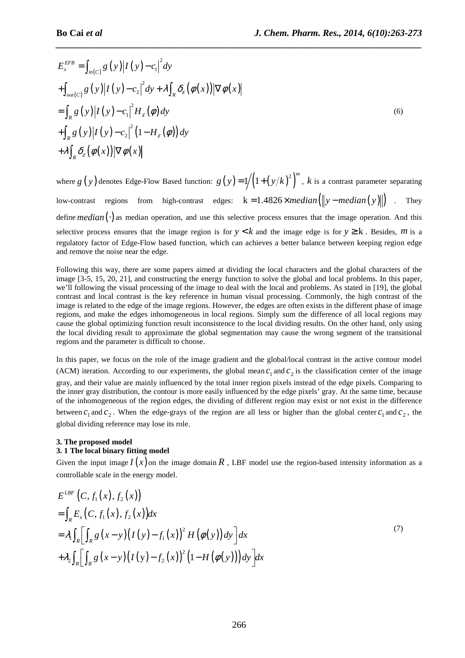$$
E_x^{EFB} = \int_{in(C)} g(y) |I(y) - c_1|^2 dy
$$
  
+ 
$$
\int_{out(C)} g(y) |I(y) - c_2|^2 dy + \lambda \int_R \delta_{\varepsilon} (\phi(x)) |\nabla \phi(x)|
$$
  
= 
$$
\int_R g(y) |I(y) - c_1|^2 H_{\varepsilon} (\phi) dy
$$
  
+ 
$$
\int_R g(y) |I(y) - c_2|^2 (1 - H_{\varepsilon} (\phi)) dy
$$
  
+ 
$$
\lambda \int_R \delta_{\varepsilon} (\phi(x)) |\nabla \phi(x)|
$$
 (6)

*\_\_\_\_\_\_\_\_\_\_\_\_\_\_\_\_\_\_\_\_\_\_\_\_\_\_\_\_\_\_\_\_\_\_\_\_\_\_\_\_\_\_\_\_\_\_\_\_\_\_\_\_\_\_\_\_\_\_\_\_\_\_\_\_\_\_\_\_\_\_\_\_\_\_\_\_\_\_*

where  $g(y)$  denotes Edge-Flow Based function:  $g(y)=1/(1+(y/k)^2)^m$ , *k* is a contrast parameter separating low-contrast regions from high-contrast edges:  $k = 1.4826 \times median(\Vert y - median(y) \Vert)$ . They define *median*(⋅) as median operation, and use this selective process ensures that the image operation. And this selective process ensures that the image region is for  $y < k$  and the image edge is for  $y \ge k$ . Besides, *m* is a regulatory factor of Edge-Flow based function, which can achieves a better balance between keeping region edge and remove the noise near the edge.

Following this way, there are some papers aimed at dividing the local characters and the global characters of the image [3-5, 15, 20, 21], and constructing the energy function to solve the global and local problems. In this paper, we'll following the visual processing of the image to deal with the local and problems. As stated in [19], the global contrast and local contrast is the key reference in human visual processing. Commonly, the high contrast of the image is related to the edge of the image regions. However, the edges are often exists in the different phase of image regions, and make the edges inhomogeneous in local regions. Simply sum the difference of all local regions may cause the global optimizing function result inconsistence to the local dividing results. On the other hand, only using the local dividing result to approximate the global segmentation may cause the wrong segment of the transitional regions and the parameter is difficult to choose.

In this paper, we focus on the role of the image gradient and the global/local contrast in the active contour model (ACM) iteration. According to our experiments, the global mean  $c_1$  and  $c_2$  is the classification center of the image gray, and their value are mainly influenced by the total inner region pixels instead of the edge pixels. Comparing to the inner gray distribution, the contour is more easily influenced by the edge pixels' gray. At the same time, because of the inhomogeneous of the region edges, the dividing of different region may exist or not exist in the difference between  $c_1$  and  $c_2$ . When the edge-grays of the region are all less or higher than the global center  $c_1$  and  $c_2$ , the global dividing reference may lose its role.

## **3. The proposed model**

## **3. 1 The local binary fitting model**

Given the input image  $I(x)$  on the image domain  $R$ , LBF model use the region-based intensity information as a controllable scale in the energy model.

$$
E^{LBF} (C, f_1(x), f_2(x))
$$
  
=  $\int_R E_x (C, f_1(x), f_2(x)) dx$   
=  $\lambda_1 \int_R \Biggl[ \int_R g (x - y) (I (y) - f_1(x))^2 H (\phi(y)) dy \Biggr] dx$   
+  $\lambda_2 \int_R \Biggl[ \int_R g (x - y) (I (y) - f_2(x))^2 (1 - H (\phi(y))) dy \Biggr] dx$  (7)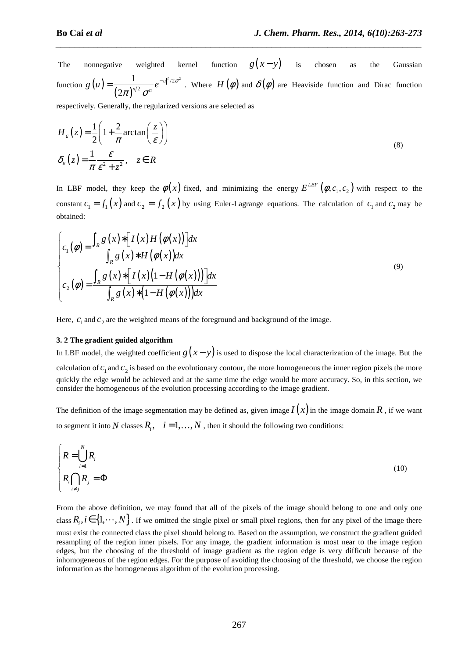The nonnegative weighted kernel function  $g(x-y)$  is chosen as the Gaussian function  $g(u)$  $(2\pi)^{n}$  $2/2\sigma^2$ 2 1 2 *u*  $g(u) = \frac{1}{(2\pi)^{n/2} \pi^n} e^{-|u|^{1/2}\sigma}$  $\pi)^{\scriptscriptstyle n/2}$   $\sigma$  $=\frac{1}{\sqrt{2\pi}}e^{-|u|^2/2\sigma^2}$ . Where  $H(\phi)$  and  $\delta(\phi)$  are Heaviside function and Dirac function

*\_\_\_\_\_\_\_\_\_\_\_\_\_\_\_\_\_\_\_\_\_\_\_\_\_\_\_\_\_\_\_\_\_\_\_\_\_\_\_\_\_\_\_\_\_\_\_\_\_\_\_\_\_\_\_\_\_\_\_\_\_\_\_\_\_\_\_\_\_\_\_\_\_\_\_\_\_\_*

respectively. Generally, the regularized versions are selected as

$$
H_{\varepsilon}(z) = \frac{1}{2} \left( 1 + \frac{2}{\pi} \arctan\left(\frac{z}{\varepsilon}\right) \right)
$$
  

$$
\delta_{\varepsilon}(z) = \frac{1}{\pi} \frac{\varepsilon}{\varepsilon^2 + z^2}, \quad z \in R
$$
 (8)

In LBF model, they keep the  $\phi(x)$  fixed, and minimizing the energy  $E^{LBF}(\phi, c_1, c_2)$  with respect to the constant  $c_1 = f_1(x)$  and  $c_2 = f_2(x)$  by using Euler-Lagrange equations. The calculation of  $c_1$  and  $c_2$  may be obtained:

$$
\begin{cases}\nc_1(\phi) = \frac{\int_R g(x) * [I(x)H(\phi(x))]dx}{\int_R g(x) * H(\phi(x))dx} \\
c_2(\phi) = \frac{\int_R g(x) * [I(x)(1-H(\phi(x)))]dx}{\int_R g(x) * (1-H(\phi(x)))dx}\n\end{cases} (9)
$$

Here,  $c_1$  and  $c_2$  are the weighted means of the foreground and background of the image.

#### **3. 2 The gradient guided algorithm**

In LBF model, the weighted coefficient  $g(x - y)$  is used to dispose the local characterization of the image. But the calculation of  $c_1$  and  $c_2$  is based on the evolutionary contour, the more homogeneous the inner region pixels the more quickly the edge would be achieved and at the same time the edge would be more accuracy. So, in this section, we consider the homogeneous of the evolution processing according to the image gradient.

The definition of the image segmentation may be defined as, given image  $I(x)$  in the image domain  $R$ , if we want to segment it into *N* classes  $R_i$ ,  $i = 1, ..., N$ , then it should the following two conditions:

$$
\begin{cases}\nR = \bigcup_{i=1}^{N} R_i \\
R_i \bigcap_{i \neq j} R_j = \Phi\n\end{cases}
$$
\n(10)

From the above definition, we may found that all of the pixels of the image should belong to one and only one class  $R_i$ ,  $i \in \{1, \dots, N\}$ . If we omitted the single pixel or small pixel regions, then for any pixel of the image there must exist the connected class the pixel should belong to. Based on the assumption, we construct the gradient guided resampling of the region inner pixels. For any image, the gradient information is most near to the image region edges, but the choosing of the threshold of image gradient as the region edge is very difficult because of the inhomogeneous of the region edges. For the purpose of avoiding the choosing of the threshold, we choose the region information as the homogeneous algorithm of the evolution processing.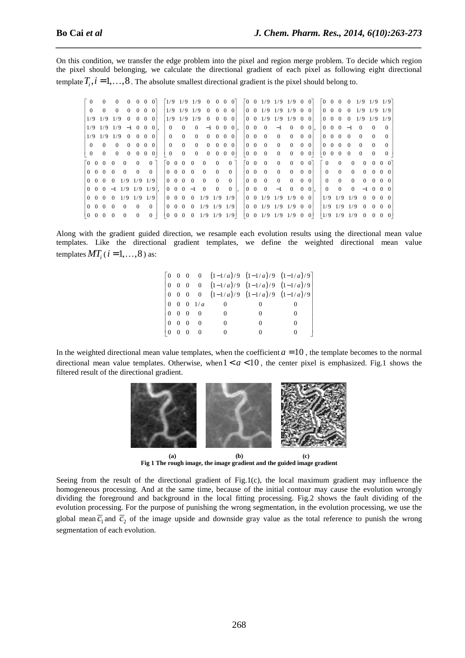On this condition, we transfer the edge problem into the pixel and region merge problem. To decide which region the pixel should belonging, we calculate the directional gradient of each pixel as following eight directional template  $T_i$ ,  $i = 1, \ldots, 8$ . The absolute smallest directional gradient is the pixel should belong to.

*\_\_\_\_\_\_\_\_\_\_\_\_\_\_\_\_\_\_\_\_\_\_\_\_\_\_\_\_\_\_\_\_\_\_\_\_\_\_\_\_\_\_\_\_\_\_\_\_\_\_\_\_\_\_\_\_\_\_\_\_\_\_\_\_\_\_\_\_\_\_\_\_\_\_\_\_\_\_*

| ГO             |                          |          | $\Omega$<br>$\Omega$                 |          | $0 \quad 0 \quad 0$ |                |                      |                          | $\begin{bmatrix} 1/9 & 1/9 & 1/9 & 0 & 0 & 0 & 0 \end{bmatrix}$ |                   |                     |            |          |                                       |                |          |          | $\begin{bmatrix} 0 & 0 & 1/9 & 1/9 & 1/9 & 0 & 0 \end{bmatrix}$ |              |                |             |                             |                   | $\begin{bmatrix} 0 & 0 & 0 & 0 & 1/9 & 1/9 & 1/9 \end{bmatrix}$ |                             |                   |  |
|----------------|--------------------------|----------|--------------------------------------|----------|---------------------|----------------|----------------------|--------------------------|-----------------------------------------------------------------|-------------------|---------------------|------------|----------|---------------------------------------|----------------|----------|----------|-----------------------------------------------------------------|--------------|----------------|-------------|-----------------------------|-------------------|-----------------------------------------------------------------|-----------------------------|-------------------|--|
| $\Omega$       |                          |          | $\Omega$<br>$\Omega$                 |          | $0 \quad 0 \quad 0$ |                |                      |                          | $1/9$ $1/9$ $1/9$ 0                                             |                   | $0 \quad 0 \quad 0$ |            |          |                                       |                |          |          | $0 \t0 \t1/9 \t1/9 \t1/9 \t0 \t0$                               |              |                |             | $0 \quad 0 \quad 0 \quad 0$ |                   | $1/9$ $1/9$ $1/9$                                               |                             |                   |  |
|                | $1/9$ $1/9$ $1/9$        |          | $\overline{0}$                       |          | $0 \quad 0 \quad 0$ |                |                      |                          | $1/9$ $1/9$ $1/9$ 0 0 0 0                                       |                   |                     |            |          |                                       |                |          |          | $0 \t0 \t1/9 \t1/9 \t1/9 \t0 \t0$                               |              |                |             |                             |                   | $0 \t0 \t0 \t0 \t1/9 \t1/9 \t1/9$                               |                             |                   |  |
|                |                          |          | $1/9$ $1/9$ $1/9$ $-1$ 0 0 0         |          |                     |                | $\Omega$             | $\Omega$                 | $\Omega$                                                        |                   | $-1$ 0 0 0 1.       |            |          | $0\quad 0$                            |                | $\Omega$ | $-1$     | $\Omega$                                                        | $\Omega$     | 0 <sup>1</sup> |             | $0 \t 0 \t 0 \t -1$         |                   | $\Omega$                                                        | $\Omega$                    | $\Omega$          |  |
|                | $1/9$ $1/9$ $1/9$        |          | $\Omega$                             |          | $0 \quad 0 \quad 0$ |                | $\Omega$             | $\Omega$                 | $\Omega$                                                        | $\Omega$          | $\Omega$            | $0\quad 0$ |          | $0 \quad 0$                           |                | $\Omega$ | $\Omega$ | $\Omega$                                                        | $\Omega$     | $\Omega$       |             | $0 \quad 0 \quad 0 \quad 0$ |                   | $\Omega$                                                        | $\Omega$                    |                   |  |
| $\Omega$       | $\Omega$                 |          | $\Omega$<br>$\Omega$                 |          | $0 \t0 \t0$         |                | $\Omega$             | $\Omega$                 | $\Omega$                                                        | $\Omega$          | $0 \quad 0 \quad 0$ |            |          | $0\quad 0$                            |                | $\Omega$ | $\Omega$ | $\Omega$                                                        |              | $0 \quad 0$    |             | $0 \quad 0 \quad 0 \quad 0$ |                   | $\Omega$                                                        | $\Omega$                    | $\Omega$          |  |
| $\overline{0}$ | $\Omega$                 |          | $\overline{0}$<br>$\overline{0}$     |          | $0\quad 0$          | $\overline{0}$ | $\overline{0}$       | $\overline{0}$           | $\overline{0}$                                                  | $\overline{0}$    | $0 \t 0 \t 0$       |            |          | $\begin{pmatrix} 0 & 0 \end{pmatrix}$ |                | $\Omega$ | $\Omega$ | $\overline{0}$                                                  | $\mathbf{0}$ | 0 <sup>1</sup> | $0 \quad 0$ | $0\quad 0$                  |                   | $\Omega$                                                        | $\Omega$                    |                   |  |
| <u>ГО О</u>    | $\Omega$                 | $\Omega$ | $\Omega$                             | $\Omega$ | $\Omega$            |                | $0\quad 0$           | $\Omega$                 | $\Omega$                                                        | $\Omega$          | $\Omega$            |            | $\Omega$ | $\begin{bmatrix} 0 & 0 \end{bmatrix}$ |                | $\Omega$ | $\Omega$ | $\Omega$                                                        | $\Omega$     | $\vert$ 0      | $\theta$    | $\Omega$                    | $\Omega$          | $\Omega$                                                        | $\Omega$                    |                   |  |
| $0\quad 0$     | $\Omega$                 | $\Omega$ | $\Omega$                             | $\Omega$ | $\Omega$            |                | $0\quad 0$           | $\Omega$                 | $\Omega$                                                        | $\Omega$          | $\Omega$            |            | $\Omega$ | $\Omega$                              | $\overline{0}$ | $\Omega$ | $\Omega$ | $\Omega$                                                        | $\Omega$     | $\Omega$       | $\Omega$    | $\Omega$                    | $\Omega$          | $\Omega$                                                        |                             | $0\quad 0\quad 0$ |  |
|                | $0\quad 0\quad 0\quad 0$ |          | $1/9$ $1/9$ $1/9$                    |          |                     |                |                      | $0\quad 0\quad 0\quad 0$ |                                                                 | $\Omega$          | $\Omega$            |            | $\Omega$ | $0\quad 0$                            |                | $\Omega$ | $\Omega$ | $\Omega$                                                        |              | $0 \quad 0$    | $\Omega$    | $\Omega$                    | $\Omega$          |                                                                 | $0 \quad 0 \quad 0 \quad 0$ |                   |  |
|                |                          |          | $0 \t0 \t0 \t-1 \t1/9 \t1/9 \t1/9$ . |          |                     |                | $0 \quad 0$          | $0 -1$                   |                                                                 | $\Omega$          | $\Omega$            |            | $\Omega$ | $\Omega$                              | $\Omega$       | $\Omega$ | $-1$     | $\Omega$                                                        | $\Omega$     | 0 <sup>1</sup> | $\Omega$    | $\Omega$                    | $\Omega$          |                                                                 | $-1$ 0 0 0                  |                   |  |
|                | $0\quad 0\quad 0$        | $\Omega$ | $1/9$ $1/9$ $1/9$                    |          |                     |                | $0\quad 0$           | $\Omega$                 | $\theta$                                                        | $1/9$ $1/9$ $1/9$ |                     |            |          |                                       |                |          |          | $0 \t0 \t1/9 \t1/9 \t1/9 \t0 \t0$                               |              |                | 1/9         |                             | $1/9$ 1/9         |                                                                 | $0 \quad 0 \quad 0 \quad 0$ |                   |  |
|                |                          |          |                                      |          |                     |                |                      |                          |                                                                 |                   |                     |            |          |                                       |                |          |          |                                                                 |              |                |             |                             |                   |                                                                 |                             |                   |  |
| $0\quad 0$     | $\Omega$                 | $\Omega$ | $\Omega$                             | $\Omega$ | $\Omega$            |                | $0\quad 0$           | $\Omega$                 | $\Omega$                                                        | $1/9$ $1/9$ $1/9$ |                     |            |          |                                       |                |          |          | $0 \t0 \t1/9 \t1/9 \t1/9 \t0 \t0$                               |              |                |             |                             | $1/9$ $1/9$ $1/9$ |                                                                 | $0 \quad 0 \quad 0 \quad 0$ |                   |  |
| $0 \quad 0$    |                          |          |                                      | 0        | $\Omega$            |                | $\Omega$<br>$\theta$ | $\Omega$                 | $\Omega$                                                        | $1/9$ $1/9$ $1/9$ |                     |            |          | $\begin{pmatrix} 0 & 0 \end{pmatrix}$ |                | 1/9      |          | $1/9$ $1/9$ 0 0                                                 |              |                |             | $1/9$ 1/9                   | 1/9               | $\Omega$                                                        |                             |                   |  |

Along with the gradient guided direction, we resample each evolution results using the directional mean value templates. Like the directional gradient templates, we define the weighted directional mean value templates  $MT_i$  ( $i = 1, ..., 8$ ) as:

> $\begin{bmatrix} 0 & 0 & 0 & 0 & (1-1/a)/9 & (1-1/a)/9 & (1-1/a)/9 \end{bmatrix}$  $\begin{bmatrix} 0 & 0 & 0 & 0 & (1-1/a)/9 & (1-1/a)/9 & (1-1/a)/9 \end{bmatrix}$  $\begin{bmatrix} 0 & 0 & 0 & 0 & (1-1/a)/9 & (1-1/a)/9 & (1-1/a)/9 \end{bmatrix}$  $\begin{bmatrix} 0 & 0 & 0 & 1/a & 0 & 0 & 0 & 0 \end{bmatrix}$  $\begin{array}{ccccccc} \circ & 0 & 0 & 0 & 0 & 0 & 0 \end{array}$  $\begin{bmatrix} 0 & 0 & 0 & 0 & 0 & 0 \\ 0 & 0 & 0 & 0 & 0 & 0 \end{bmatrix}$  $\begin{bmatrix} 0 & 0 & 0 & 0 & 0 & 0 \end{bmatrix}$

In the weighted directional mean value templates, when the coefficient  $a = 10$ , the template becomes to the normal directional mean value templates. Otherwise, when  $1 < a < 10$ , the center pixel is emphasized. Fig.1 shows the filtered result of the directional gradient.



**Fig 1 The rough image, the image gradient and the guided image gradient** 

Seeing from the result of the directional gradient of Fig.1(c), the local maximum gradient may influence the homogeneous processing. And at the same time, because of the initial contour may cause the evolution wrongly dividing the foreground and background in the local fitting processing. Fig.2 shows the fault dividing of the evolution processing. For the purpose of punishing the wrong segmentation, in the evolution processing, we use the global mean  $\overline{c}_1$  and  $\overline{c}_2$  of the image upside and downside gray value as the total reference to punish the wrong segmentation of each evolution.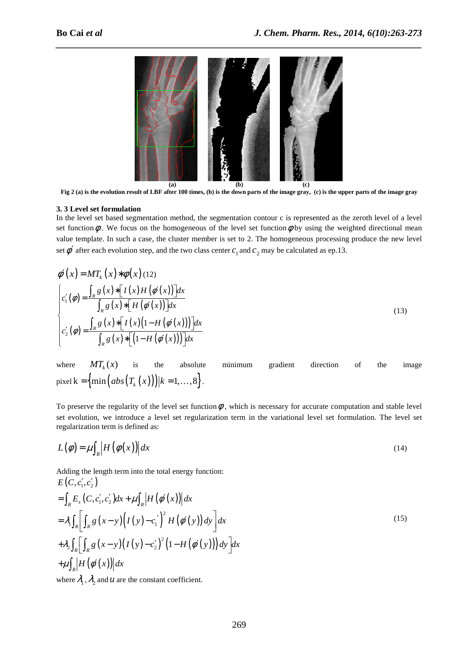

*\_\_\_\_\_\_\_\_\_\_\_\_\_\_\_\_\_\_\_\_\_\_\_\_\_\_\_\_\_\_\_\_\_\_\_\_\_\_\_\_\_\_\_\_\_\_\_\_\_\_\_\_\_\_\_\_\_\_\_\_\_\_\_\_\_\_\_\_\_\_\_\_\_\_\_\_\_\_*

**Fig 2 (a) is the evolution result of LBF after 100 times, (b) is the down parts of the image gray, (c) is the upper parts of the image gray** 

#### **3. 3 Level set formulation**

In the level set based segmentation method, the segmentation contour c is represented as the zeroth level of a level set function  $\phi$ . We focus on the homogeneous of the level set function  $\phi$  by using the weighted directional mean value template. In such a case, the cluster member is set to 2. The homogeneous processing produce the new level set  $\phi'$  after each evolution step, and the two class center  $c_1$  and  $c_2$  may be calculated as ep.13.

$$
\phi'(x) = MT_k(x) * \phi(x) (12)
$$
\n
$$
\begin{cases}\nc_1'(\phi) = \frac{\int_R g(x) * [I(x)H(\phi'(x))]dx}{\int_R g(x) * [H(\phi'(x))]dx} \\
c_2'(\phi) = \frac{\int_R g(x) * [I(x)(1-H(\phi'(x)))]dx}{\int_R g(x) * [(1-H(\phi'(x)))]dx}\n\end{cases}
$$
\n(13)

where  $MT_{k}(x)$ is the absolute minimum gradient direction of the image pixel k = { $\min (abs(T_k(x)))|k = 1,...,8$  }.

To preserve the regularity of the level set function  $\phi$ , which is necessary for accurate computation and stable level set evolution, we introduce a level set regularization term in the variational level set formulation. The level set regularization term is defined as:

$$
L(\phi) = \mu \int_{R} \left| H\left(\phi(x)\right) \right| dx \tag{14}
$$

Adding the length term into the total energy function:

$$
E(C, c'_1, c'_2)
$$
  
=  $\int_R E_x (C, c'_1, c'_2) dx + \mu \int_R |H(\phi'(x))| dx$   
=  $\lambda_1 \int_R \left[ \int_R g(x - y) (I(y) - c'_1)^2 H(\phi'(y)) dy \right] dx$   
+  $\lambda_2 \int_R \left[ \int_R g(x - y) (I(y) - c'_2)^2 (1 - H(\phi'(y))) dy \right] dx$   
+  $\mu \int_R |H(\phi'(x))| dx$   
where  $\lambda_1, \lambda_2$  and  $u$  are the constant coefficient.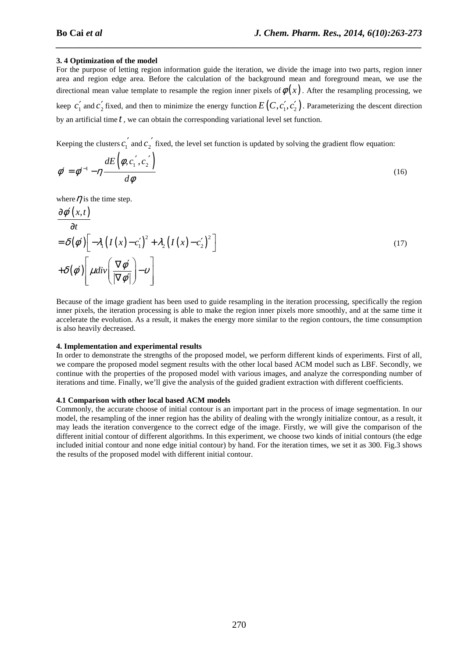## **3. 4 Optimization of the model**

For the purpose of letting region information guide the iteration, we divide the image into two parts, region inner area and region edge area. Before the calculation of the background mean and foreground mean, we use the directional mean value template to resample the region inner pixels of  $\phi(x)$ . After the resampling processing, we keep  $c'_1$  and  $c'_2$  fixed, and then to minimize the energy function  $E(C, c'_1, c'_2)$ . Parameterizing the descent direction by an artificial time *t* , we can obtain the corresponding variational level set function.

*\_\_\_\_\_\_\_\_\_\_\_\_\_\_\_\_\_\_\_\_\_\_\_\_\_\_\_\_\_\_\_\_\_\_\_\_\_\_\_\_\_\_\_\_\_\_\_\_\_\_\_\_\_\_\_\_\_\_\_\_\_\_\_\_\_\_\_\_\_\_\_\_\_\_\_\_\_\_*

Keeping the clusters  $c_1'$  and  $c_2'$  fixed, the level set function is updated by solving the gradient flow equation:

$$
\phi^i = \phi^{i-1} - \eta \frac{dE\left(\phi, c_1', c_2'\right)}{d\phi} \tag{16}
$$

where  $\eta$  is the time step.

$$
\frac{\partial \phi'(x,t)}{\partial t} \n= \delta(\phi') \left[ -\lambda_1 \left( I(x) - c_1' \right)^2 + \lambda_2 \left( I(x) - c_2' \right)^2 \right] \n+ \delta(\phi') \left[ \mu \, div \left( \frac{\nabla \phi'}{|\nabla \phi'|} \right) - v \right]
$$
\n(17)

Because of the image gradient has been used to guide resampling in the iteration processing, specifically the region inner pixels, the iteration processing is able to make the region inner pixels more smoothly, and at the same time it accelerate the evolution. As a result, it makes the energy more similar to the region contours, the time consumption is also heavily decreased.

#### **4. Implementation and experimental results**

In order to demonstrate the strengths of the proposed model, we perform different kinds of experiments. First of all, we compare the proposed model segment results with the other local based ACM model such as LBF. Secondly, we continue with the properties of the proposed model with various images, and analyze the corresponding number of iterations and time. Finally, we'll give the analysis of the guided gradient extraction with different coefficients.

## **4.1 Comparison with other local based ACM models**

Commonly, the accurate choose of initial contour is an important part in the process of image segmentation. In our model, the resampling of the inner region has the ability of dealing with the wrongly initialize contour, as a result, it may leads the iteration convergence to the correct edge of the image. Firstly, we will give the comparison of the different initial contour of different algorithms. In this experiment, we choose two kinds of initial contours (the edge included initial contour and none edge initial contour) by hand. For the iteration times, we set it as 300. Fig.3 shows the results of the proposed model with different initial contour.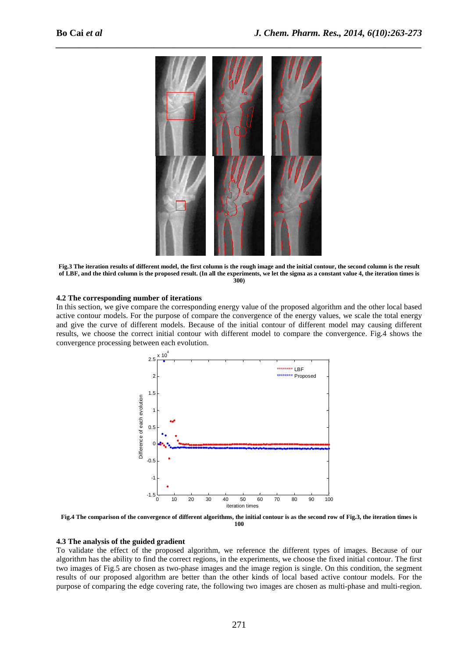

**Fig.3 The iteration results of different model, the first column is the rough image and the initial contour, the second column is the result of LBF, and the third column is the proposed result. (In all the experiments, we let the sigma as a constant value 4, the iteration times is 300)** 

#### **4.2 The corresponding number of iterations**

In this section, we give compare the corresponding energy value of the proposed algorithm and the other local based active contour models. For the purpose of compare the convergence of the energy values, we scale the total energy and give the curve of different models. Because of the initial contour of different model may causing different results, we choose the correct initial contour with different model to compare the convergence. Fig.4 shows the convergence processing between each evolution.



**Fig.4 The comparison of the convergence of different algorithms, the initial contour is as the second row of Fig.3, the iteration times is 100** 

#### **4.3 The analysis of the guided gradient**

To validate the effect of the proposed algorithm, we reference the different types of images. Because of our algorithm has the ability to find the correct regions, in the experiments, we choose the fixed initial contour. The first two images of Fig.5 are chosen as two-phase images and the image region is single. On this condition, the segment results of our proposed algorithm are better than the other kinds of local based active contour models. For the purpose of comparing the edge covering rate, the following two images are chosen as multi-phase and multi-region.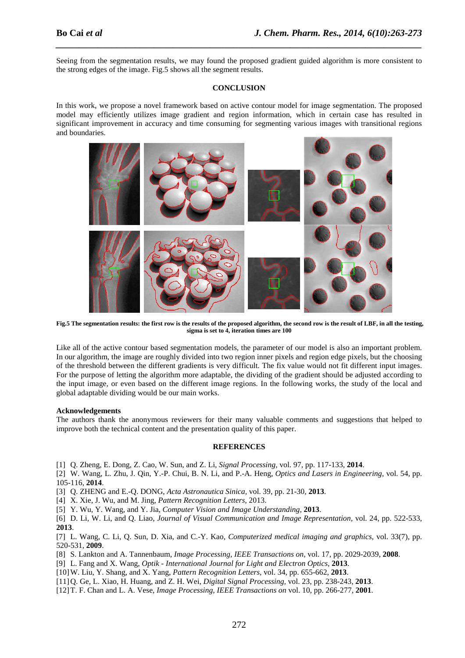Seeing from the segmentation results, we may found the proposed gradient guided algorithm is more consistent to the strong edges of the image. Fig.5 shows all the segment results.

*\_\_\_\_\_\_\_\_\_\_\_\_\_\_\_\_\_\_\_\_\_\_\_\_\_\_\_\_\_\_\_\_\_\_\_\_\_\_\_\_\_\_\_\_\_\_\_\_\_\_\_\_\_\_\_\_\_\_\_\_\_\_\_\_\_\_\_\_\_\_\_\_\_\_\_\_\_\_*

#### **CONCLUSION**

In this work, we propose a novel framework based on active contour model for image segmentation. The proposed model may efficiently utilizes image gradient and region information, which in certain case has resulted in significant improvement in accuracy and time consuming for segmenting various images with transitional regions and boundaries.



**Fig.5 The segmentation results: the first row is the results of the proposed algorithm, the second row is the result of LBF, in all the testing, sigma is set to 4, iteration times are 100** 

Like all of the active contour based segmentation models, the parameter of our model is also an important problem. In our algorithm, the image are roughly divided into two region inner pixels and region edge pixels, but the choosing of the threshold between the different gradients is very difficult. The fix value would not fit different input images. For the purpose of letting the algorithm more adaptable, the dividing of the gradient should be adjusted according to the input image, or even based on the different image regions. In the following works, the study of the local and global adaptable dividing would be our main works.

## **Acknowledgements**

The authors thank the anonymous reviewers for their many valuable comments and suggestions that helped to improve both the technical content and the presentation quality of this paper.

#### **REFERENCES**

- [1] Q. Zheng, E. Dong, Z. Cao, W. Sun, and Z. Li, *Signal Processing,* vol. 97, pp. 117-133, **2014**.
- [2] W. Wang, L. Zhu, J. Qin, Y.-P. Chui, B. N. Li, and P.-A. Heng, *Optics and Lasers in Engineering,* vol. 54, pp. 105-116, **2014**.
- [3] Q. ZHENG and E.-Q. DONG, *Acta Astronautica Sinica,* vol. 39, pp. 21-30, **2013**.
- [4] X. Xie, J. Wu, and M. Jing, *Pattern Recognition Letters,* 2013.
- [5] Y. Wu, Y. Wang, and Y. Jia, *Computer Vision and Image Understanding,* **2013**.
- [6] D. Li, W. Li, and Q. Liao, *Journal of Visual Communication and Image Representation,* vol. 24, pp. 522-533, **2013**.
- [7] L. Wang, C. Li, Q. Sun, D. Xia, and C.-Y. Kao, *Computerized medical imaging and graphics,* vol. 33(7), pp. 520-531, **2009**.
- [8] S. Lankton and A. Tannenbaum, *Image Processing, IEEE Transactions on,* vol. 17, pp. 2029-2039, **2008**.
- [9] L. Fang and X. Wang, *Optik International Journal for Light and Electron Optics,* **2013**.
- [10] W. Liu, Y. Shang, and X. Yang, *Pattern Recognition Letters,* vol. 34, pp. 655-662, **2013**.
- [11] Q. Ge, L. Xiao, H. Huang, and Z. H. Wei, *Digital Signal Processing,* vol. 23, pp. 238-243, **2013**.
- [12] T. F. Chan and L. A. Vese, *Image Processing, IEEE Transactions on* vol. 10, pp. 266-277, **2001**.